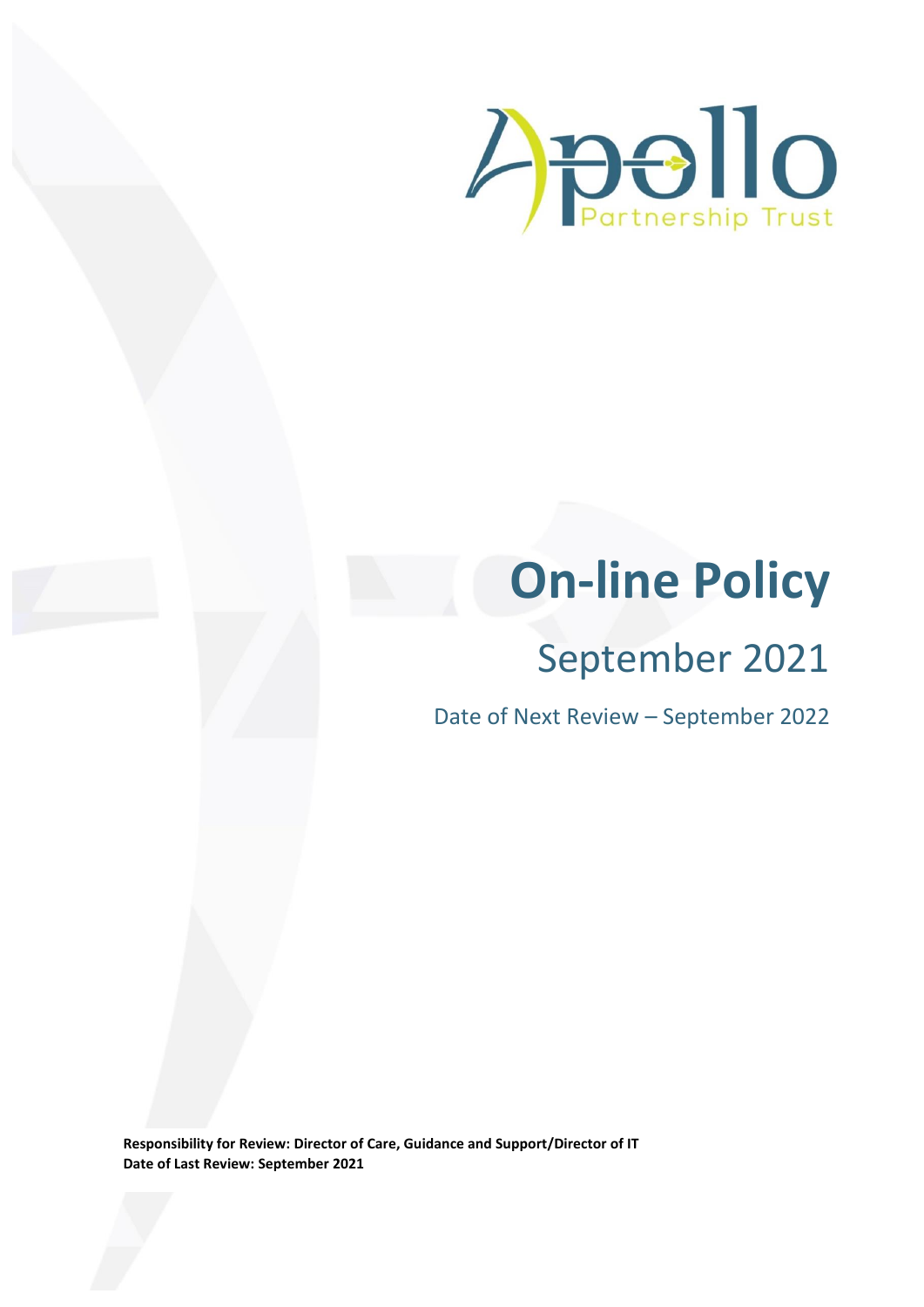

# **On-line Policy**

# September 2021

Date of Next Review – September 2022

**Responsibility for Review: Director of Care, Guidance and Support/Director of IT Date of Last Review: September 2021**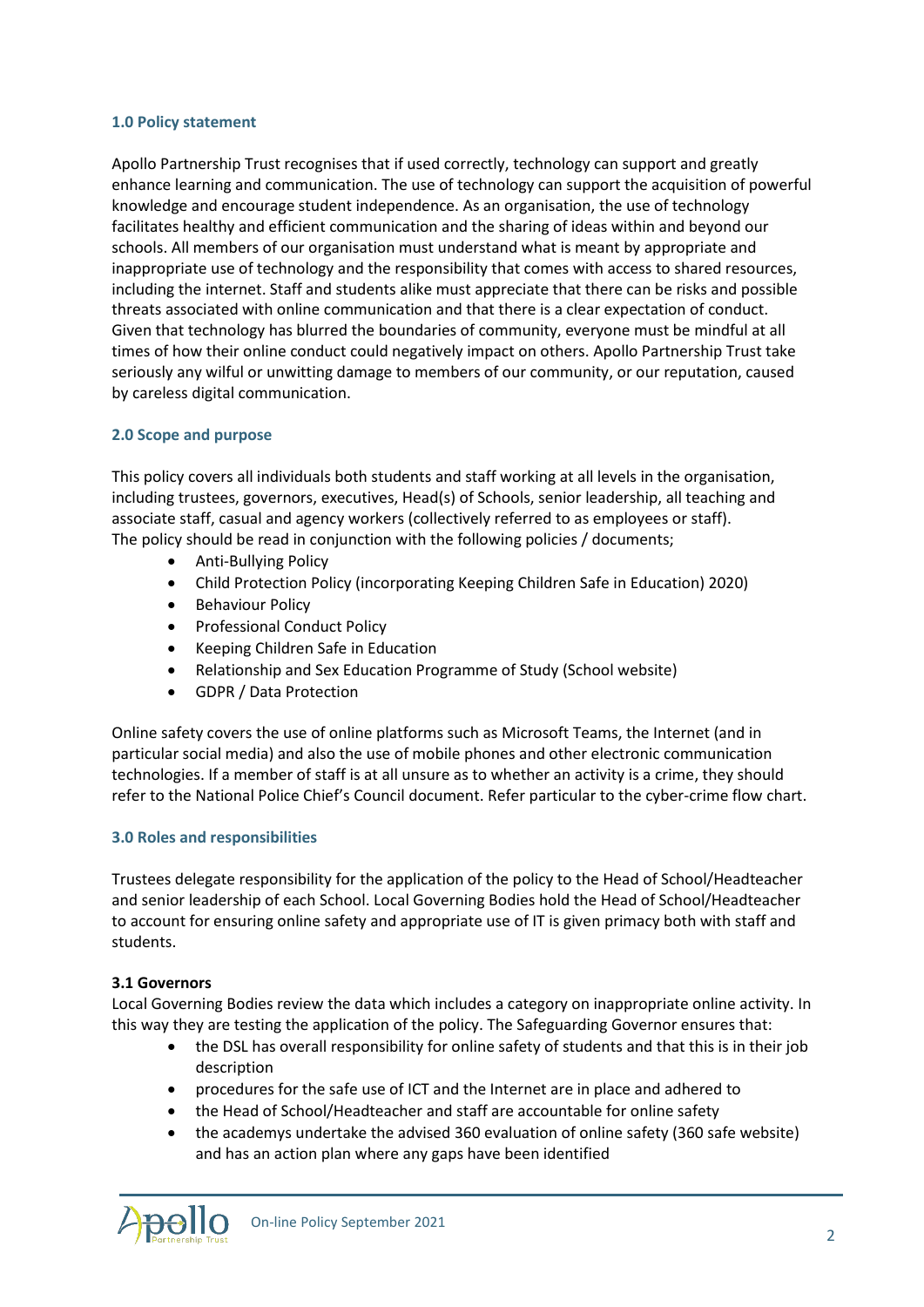#### **1.0 Policy statement**

Apollo Partnership Trust recognises that if used correctly, technology can support and greatly enhance learning and communication. The use of technology can support the acquisition of powerful knowledge and encourage student independence. As an organisation, the use of technology facilitates healthy and efficient communication and the sharing of ideas within and beyond our schools. All members of our organisation must understand what is meant by appropriate and inappropriate use of technology and the responsibility that comes with access to shared resources, including the internet. Staff and students alike must appreciate that there can be risks and possible threats associated with online communication and that there is a clear expectation of conduct. Given that technology has blurred the boundaries of community, everyone must be mindful at all times of how their online conduct could negatively impact on others. Apollo Partnership Trust take seriously any wilful or unwitting damage to members of our community, or our reputation, caused by careless digital communication.

#### **2.0 Scope and purpose**

This policy covers all individuals both students and staff working at all levels in the organisation, including trustees, governors, executives, Head(s) of Schools, senior leadership, all teaching and associate staff, casual and agency workers (collectively referred to as employees or staff). The policy should be read in conjunction with the following policies / documents;

- Anti-Bullying Policy
- Child Protection Policy (incorporating Keeping Children Safe in Education) 2020)
- Behaviour Policy
- **•** Professional Conduct Policy
- Keeping Children Safe in Education
- Relationship and Sex Education Programme of Study (School website)
- GDPR / Data Protection

Online safety covers the use of online platforms such as Microsoft Teams, the Internet (and in particular social media) and also the use of mobile phones and other electronic communication technologies. If a member of staff is at all unsure as to whether an activity is a crime, they should refer to the National Police Chief's Council document. Refer particular to the cyber-crime flow chart.

#### **3.0 Roles and responsibilities**

Trustees delegate responsibility for the application of the policy to the Head of School/Headteacher and senior leadership of each School. Local Governing Bodies hold the Head of School/Headteacher to account for ensuring online safety and appropriate use of IT is given primacy both with staff and students.

#### **3.1 Governors**

Local Governing Bodies review the data which includes a category on inappropriate online activity. In this way they are testing the application of the policy. The Safeguarding Governor ensures that:

- the DSL has overall responsibility for online safety of students and that this is in their job description
- procedures for the safe use of ICT and the Internet are in place and adhered to
- the Head of School/Headteacher and staff are accountable for online safety
- the academys undertake the advised 360 evaluation of online safety (360 safe website) and has an action plan where any gaps have been identified

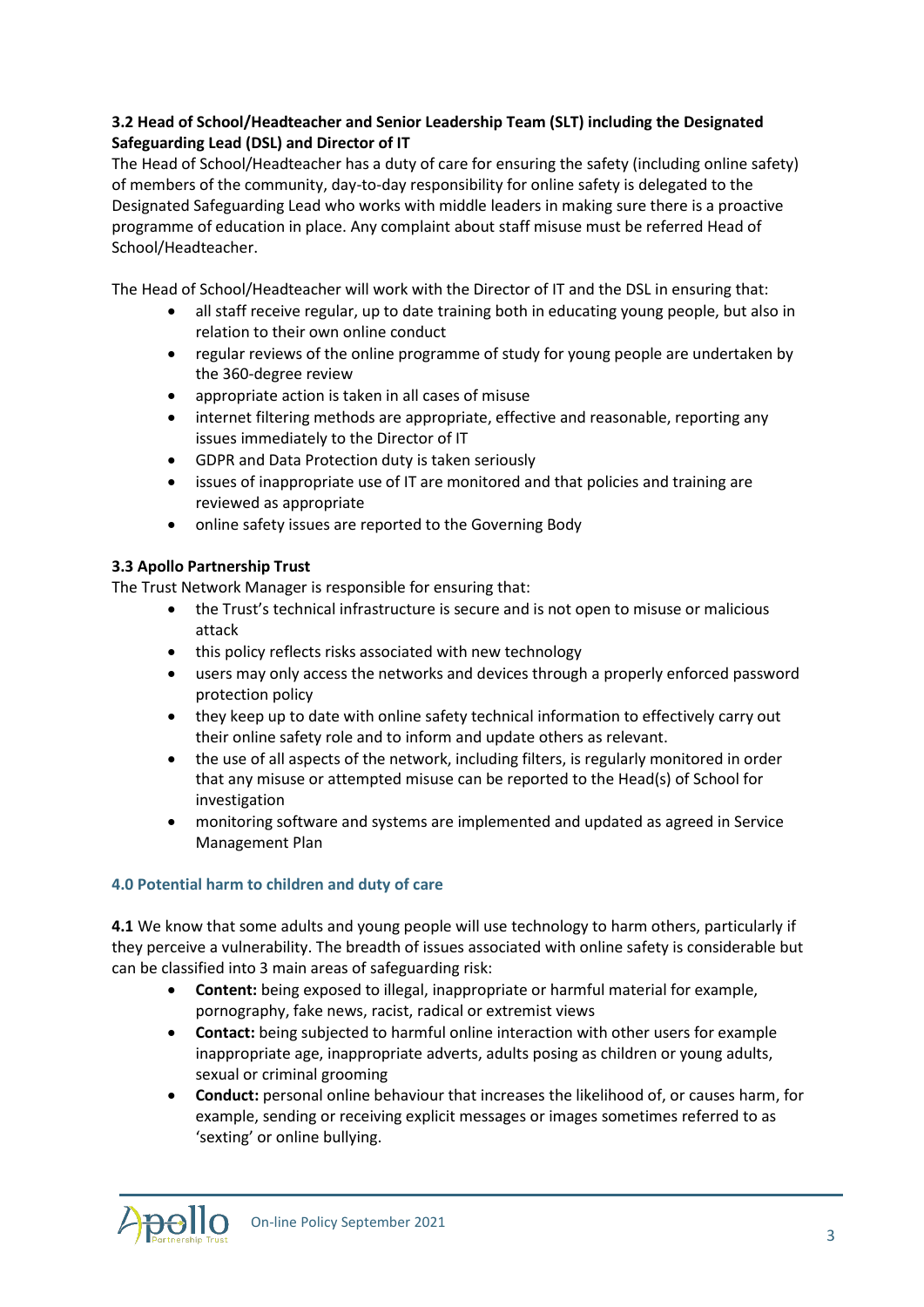# **3.2 Head of School/Headteacher and Senior Leadership Team (SLT) including the Designated Safeguarding Lead (DSL) and Director of IT**

The Head of School/Headteacher has a duty of care for ensuring the safety (including online safety) of members of the community, day-to-day responsibility for online safety is delegated to the Designated Safeguarding Lead who works with middle leaders in making sure there is a proactive programme of education in place. Any complaint about staff misuse must be referred Head of School/Headteacher.

The Head of School/Headteacher will work with the Director of IT and the DSL in ensuring that:

- all staff receive regular, up to date training both in educating young people, but also in relation to their own online conduct
- regular reviews of the online programme of study for young people are undertaken by the 360-degree review
- appropriate action is taken in all cases of misuse
- internet filtering methods are appropriate, effective and reasonable, reporting any issues immediately to the Director of IT
- GDPR and Data Protection duty is taken seriously
- issues of inappropriate use of IT are monitored and that policies and training are reviewed as appropriate
- online safety issues are reported to the Governing Body

## **3.3 Apollo Partnership Trust**

The Trust Network Manager is responsible for ensuring that:

- the Trust's technical infrastructure is secure and is not open to misuse or malicious attack
- this policy reflects risks associated with new technology
- users may only access the networks and devices through a properly enforced password protection policy
- they keep up to date with online safety technical information to effectively carry out their online safety role and to inform and update others as relevant.
- the use of all aspects of the network, including filters, is regularly monitored in order that any misuse or attempted misuse can be reported to the Head(s) of School for investigation
- monitoring software and systems are implemented and updated as agreed in Service Management Plan

#### **4.0 Potential harm to children and duty of care**

**4.1** We know that some adults and young people will use technology to harm others, particularly if they perceive a vulnerability. The breadth of issues associated with online safety is considerable but can be classified into 3 main areas of safeguarding risk:

- **Content:** being exposed to illegal, inappropriate or harmful material for example, pornography, fake news, racist, radical or extremist views
- **Contact:** being subjected to harmful online interaction with other users for example inappropriate age, inappropriate adverts, adults posing as children or young adults, sexual or criminal grooming
- **Conduct:** personal online behaviour that increases the likelihood of, or causes harm, for example, sending or receiving explicit messages or images sometimes referred to as 'sexting' or online bullying.

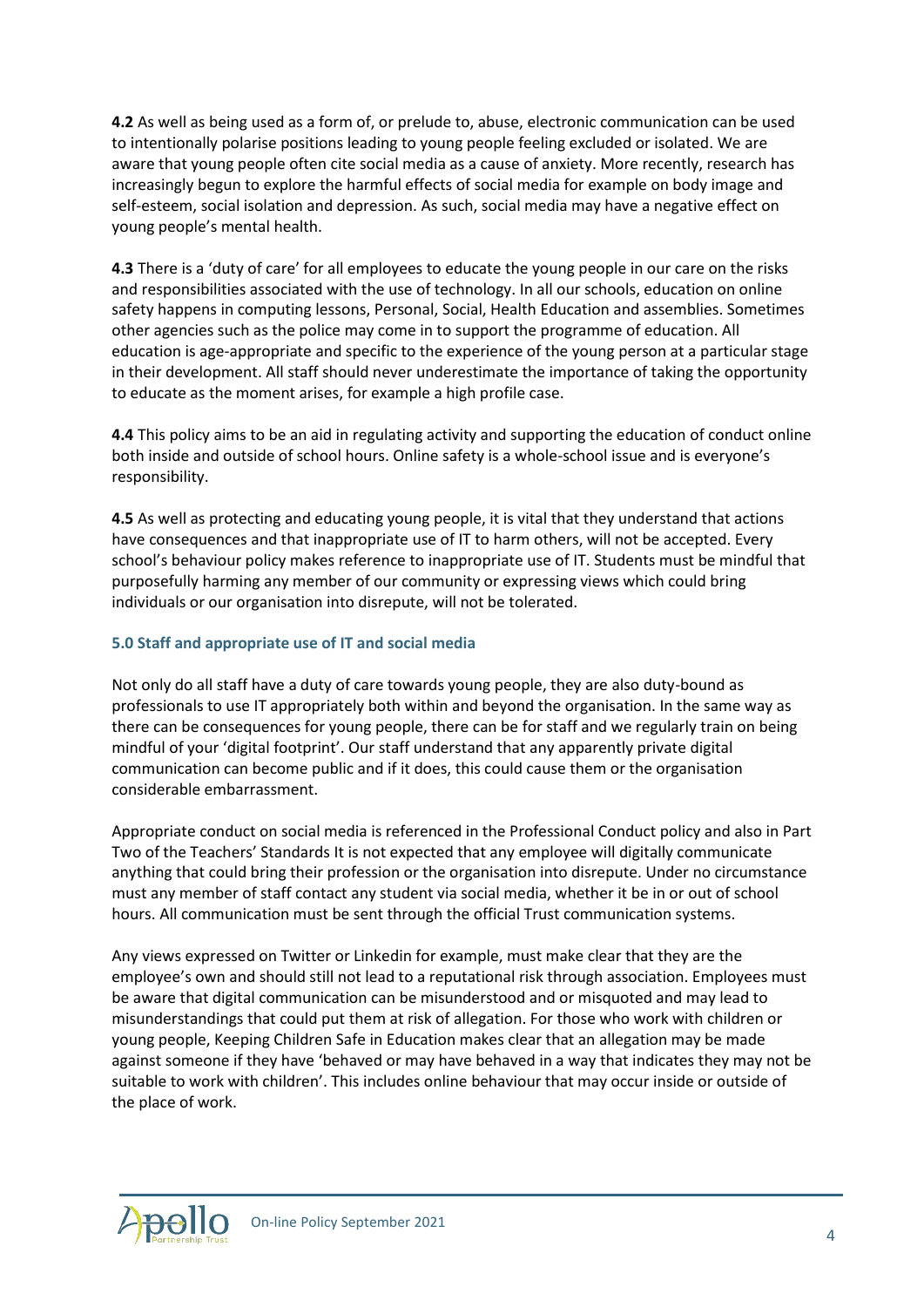**4.2** As well as being used as a form of, or prelude to, abuse, electronic communication can be used to intentionally polarise positions leading to young people feeling excluded or isolated. We are aware that young people often cite social media as a cause of anxiety. More recently, research has increasingly begun to explore the harmful effects of social media for example on body image and self-esteem, social isolation and depression. As such, social media may have a negative effect on young people's mental health.

**4.3** There is a 'duty of care' for all employees to educate the young people in our care on the risks and responsibilities associated with the use of technology. In all our schools, education on online safety happens in computing lessons, Personal, Social, Health Education and assemblies. Sometimes other agencies such as the police may come in to support the programme of education. All education is age-appropriate and specific to the experience of the young person at a particular stage in their development. All staff should never underestimate the importance of taking the opportunity to educate as the moment arises, for example a high profile case.

**4.4** This policy aims to be an aid in regulating activity and supporting the education of conduct online both inside and outside of school hours. Online safety is a whole-school issue and is everyone's responsibility.

**4.5** As well as protecting and educating young people, it is vital that they understand that actions have consequences and that inappropriate use of IT to harm others, will not be accepted. Every school's behaviour policy makes reference to inappropriate use of IT. Students must be mindful that purposefully harming any member of our community or expressing views which could bring individuals or our organisation into disrepute, will not be tolerated.

#### **5.0 Staff and appropriate use of IT and social media**

Not only do all staff have a duty of care towards young people, they are also duty-bound as professionals to use IT appropriately both within and beyond the organisation. In the same way as there can be consequences for young people, there can be for staff and we regularly train on being mindful of your 'digital footprint'. Our staff understand that any apparently private digital communication can become public and if it does, this could cause them or the organisation considerable embarrassment.

Appropriate conduct on social media is referenced in the Professional Conduct policy and also in Part Two of the Teachers' Standards It is not expected that any employee will digitally communicate anything that could bring their profession or the organisation into disrepute. Under no circumstance must any member of staff contact any student via social media, whether it be in or out of school hours. All communication must be sent through the official Trust communication systems.

Any views expressed on Twitter or Linkedin for example, must make clear that they are the employee's own and should still not lead to a reputational risk through association. Employees must be aware that digital communication can be misunderstood and or misquoted and may lead to misunderstandings that could put them at risk of allegation. For those who work with children or young people, Keeping Children Safe in Education makes clear that an allegation may be made against someone if they have 'behaved or may have behaved in a way that indicates they may not be suitable to work with children'. This includes online behaviour that may occur inside or outside of the place of work.

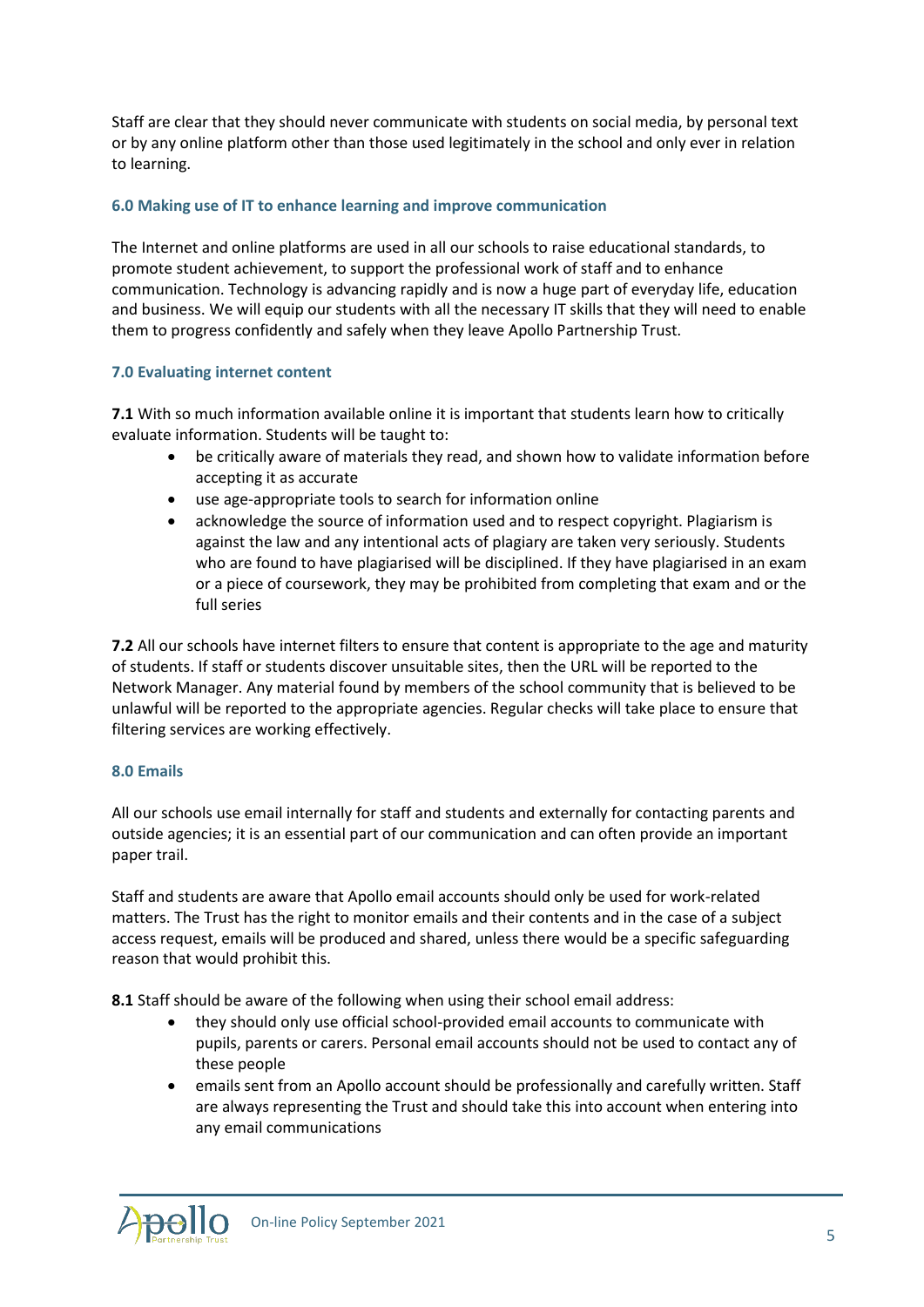Staff are clear that they should never communicate with students on social media, by personal text or by any online platform other than those used legitimately in the school and only ever in relation to learning.

#### **6.0 Making use of IT to enhance learning and improve communication**

The Internet and online platforms are used in all our schools to raise educational standards, to promote student achievement, to support the professional work of staff and to enhance communication. Technology is advancing rapidly and is now a huge part of everyday life, education and business. We will equip our students with all the necessary IT skills that they will need to enable them to progress confidently and safely when they leave Apollo Partnership Trust.

#### **7.0 Evaluating internet content**

**7.1** With so much information available online it is important that students learn how to critically evaluate information. Students will be taught to:

- be critically aware of materials they read, and shown how to validate information before accepting it as accurate
- use age-appropriate tools to search for information online
- acknowledge the source of information used and to respect copyright. Plagiarism is against the law and any intentional acts of plagiary are taken very seriously. Students who are found to have plagiarised will be disciplined. If they have plagiarised in an exam or a piece of coursework, they may be prohibited from completing that exam and or the full series

**7.2** All our schools have internet filters to ensure that content is appropriate to the age and maturity of students. If staff or students discover unsuitable sites, then the URL will be reported to the Network Manager. Any material found by members of the school community that is believed to be unlawful will be reported to the appropriate agencies. Regular checks will take place to ensure that filtering services are working effectively.

#### **8.0 Emails**

All our schools use email internally for staff and students and externally for contacting parents and outside agencies; it is an essential part of our communication and can often provide an important paper trail.

Staff and students are aware that Apollo email accounts should only be used for work-related matters. The Trust has the right to monitor emails and their contents and in the case of a subject access request, emails will be produced and shared, unless there would be a specific safeguarding reason that would prohibit this.

**8.1** Staff should be aware of the following when using their school email address:

- they should only use official school-provided email accounts to communicate with pupils, parents or carers. Personal email accounts should not be used to contact any of these people
- emails sent from an Apollo account should be professionally and carefully written. Staff are always representing the Trust and should take this into account when entering into any email communications

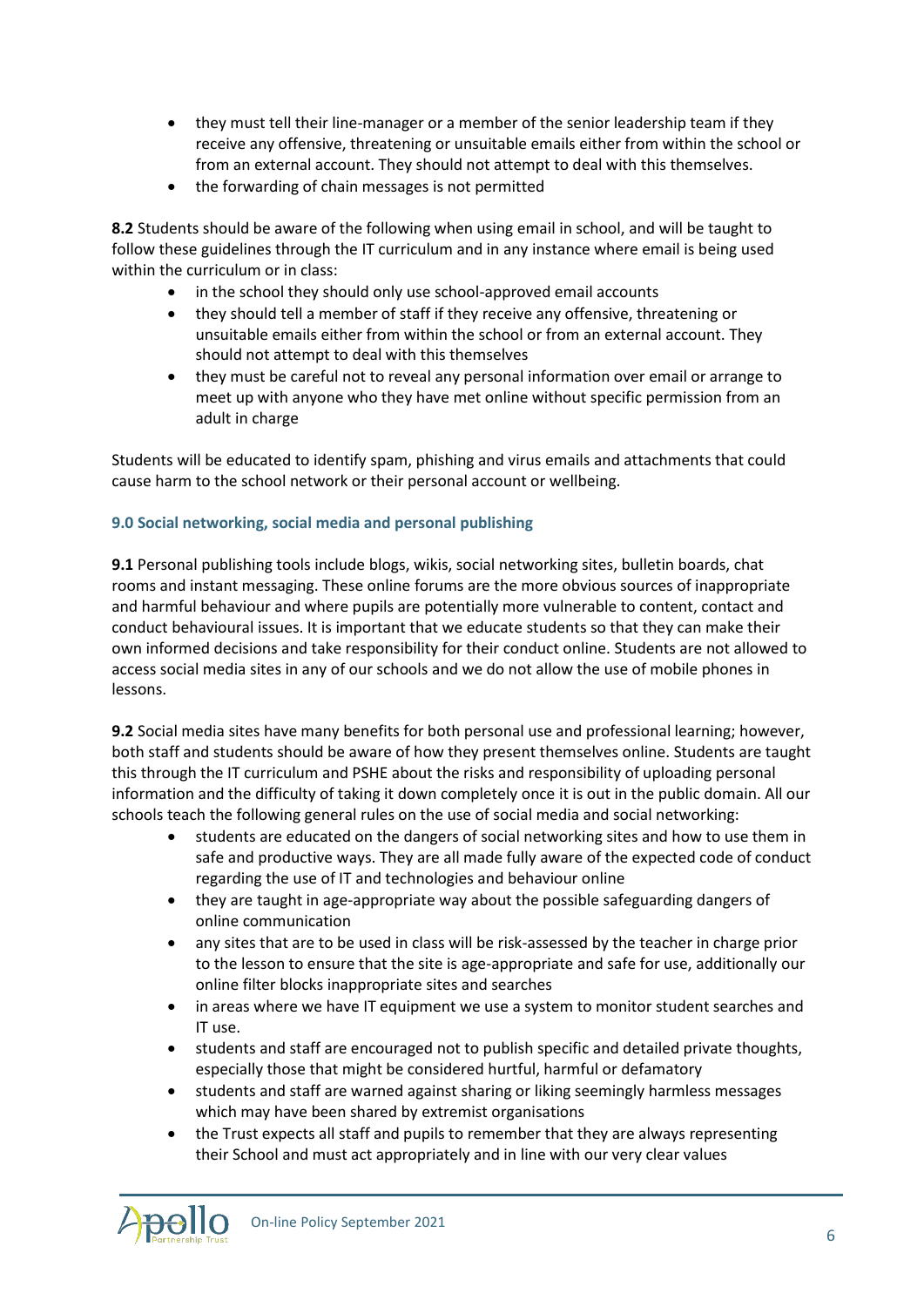- they must tell their line-manager or a member of the senior leadership team if they receive any offensive, threatening or unsuitable emails either from within the school or from an external account. They should not attempt to deal with this themselves.
- the forwarding of chain messages is not permitted

**8.2** Students should be aware of the following when using email in school, and will be taught to follow these guidelines through the IT curriculum and in any instance where email is being used within the curriculum or in class:

- in the school they should only use school-approved email accounts
- they should tell a member of staff if they receive any offensive, threatening or unsuitable emails either from within the school or from an external account. They should not attempt to deal with this themselves
- they must be careful not to reveal any personal information over email or arrange to meet up with anyone who they have met online without specific permission from an adult in charge

Students will be educated to identify spam, phishing and virus emails and attachments that could cause harm to the school network or their personal account or wellbeing.

## **9.0 Social networking, social media and personal publishing**

**9.1** Personal publishing tools include blogs, wikis, social networking sites, bulletin boards, chat rooms and instant messaging. These online forums are the more obvious sources of inappropriate and harmful behaviour and where pupils are potentially more vulnerable to content, contact and conduct behavioural issues. It is important that we educate students so that they can make their own informed decisions and take responsibility for their conduct online. Students are not allowed to access social media sites in any of our schools and we do not allow the use of mobile phones in lessons.

**9.2** Social media sites have many benefits for both personal use and professional learning; however, both staff and students should be aware of how they present themselves online. Students are taught this through the IT curriculum and PSHE about the risks and responsibility of uploading personal information and the difficulty of taking it down completely once it is out in the public domain. All our schools teach the following general rules on the use of social media and social networking:

- students are educated on the dangers of social networking sites and how to use them in safe and productive ways. They are all made fully aware of the expected code of conduct regarding the use of IT and technologies and behaviour online
- they are taught in age-appropriate way about the possible safeguarding dangers of online communication
- any sites that are to be used in class will be risk-assessed by the teacher in charge prior to the lesson to ensure that the site is age-appropriate and safe for use, additionally our online filter blocks inappropriate sites and searches
- in areas where we have IT equipment we use a system to monitor student searches and IT use.
- students and staff are encouraged not to publish specific and detailed private thoughts, especially those that might be considered hurtful, harmful or defamatory
- students and staff are warned against sharing or liking seemingly harmless messages which may have been shared by extremist organisations
- the Trust expects all staff and pupils to remember that they are always representing their School and must act appropriately and in line with our very clear values

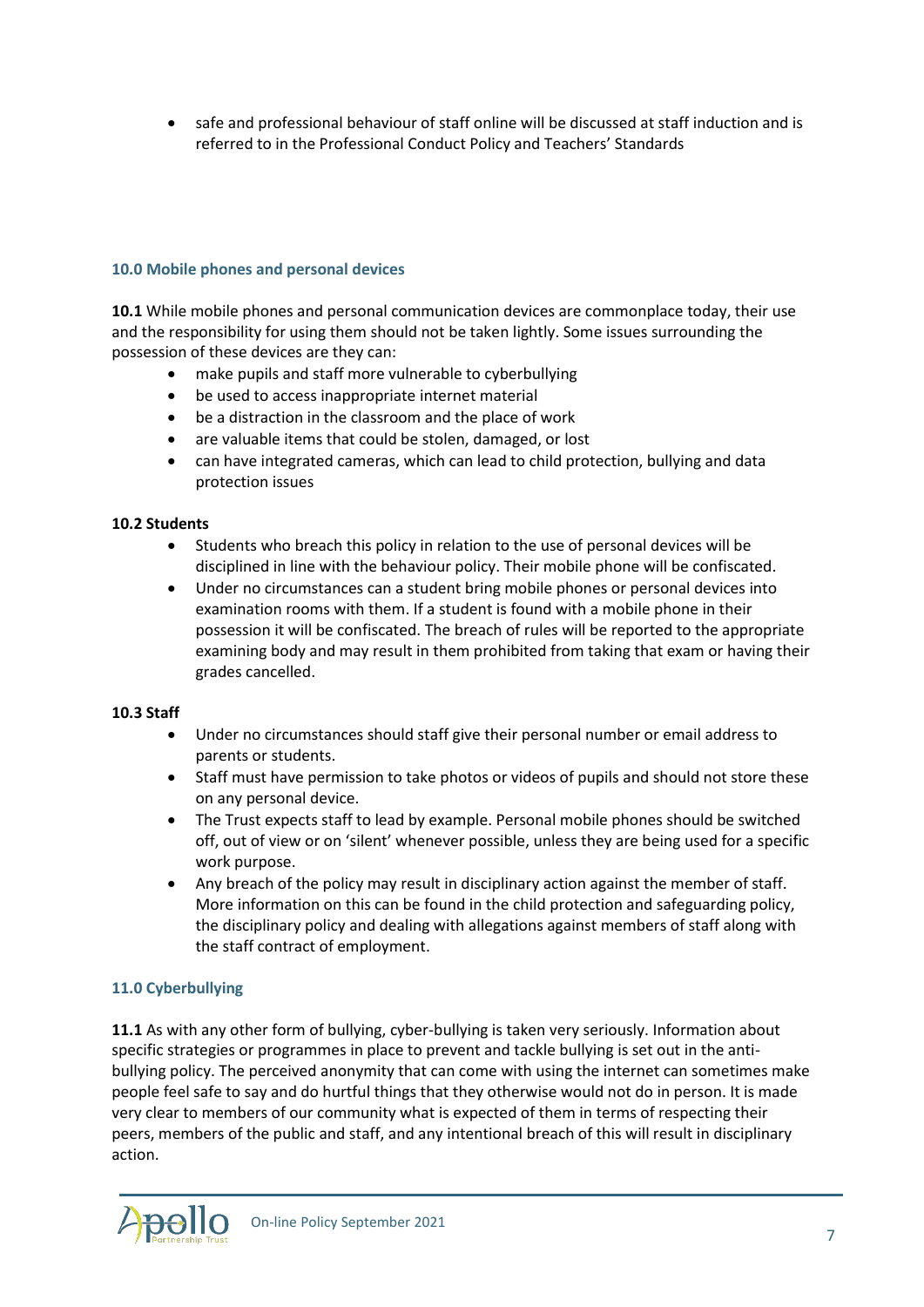safe and professional behaviour of staff online will be discussed at staff induction and is referred to in the Professional Conduct Policy and Teachers' Standards

#### **10.0 Mobile phones and personal devices**

**10.1** While mobile phones and personal communication devices are commonplace today, their use and the responsibility for using them should not be taken lightly. Some issues surrounding the possession of these devices are they can:

- make pupils and staff more vulnerable to cyberbullying
- be used to access inappropriate internet material
- be a distraction in the classroom and the place of work
- are valuable items that could be stolen, damaged, or lost
- can have integrated cameras, which can lead to child protection, bullying and data protection issues

#### **10.2 Students**

- Students who breach this policy in relation to the use of personal devices will be disciplined in line with the behaviour policy. Their mobile phone will be confiscated.
- Under no circumstances can a student bring mobile phones or personal devices into examination rooms with them. If a student is found with a mobile phone in their possession it will be confiscated. The breach of rules will be reported to the appropriate examining body and may result in them prohibited from taking that exam or having their grades cancelled.

#### **10.3 Staff**

- Under no circumstances should staff give their personal number or email address to parents or students.
- Staff must have permission to take photos or videos of pupils and should not store these on any personal device.
- The Trust expects staff to lead by example. Personal mobile phones should be switched off, out of view or on 'silent' whenever possible, unless they are being used for a specific work purpose.
- Any breach of the policy may result in disciplinary action against the member of staff. More information on this can be found in the child protection and safeguarding policy, the disciplinary policy and dealing with allegations against members of staff along with the staff contract of employment.

#### **11.0 Cyberbullying**

**11.1** As with any other form of bullying, cyber-bullying is taken very seriously. Information about specific strategies or programmes in place to prevent and tackle bullying is set out in the antibullying policy. The perceived anonymity that can come with using the internet can sometimes make people feel safe to say and do hurtful things that they otherwise would not do in person. It is made very clear to members of our community what is expected of them in terms of respecting their peers, members of the public and staff, and any intentional breach of this will result in disciplinary action.